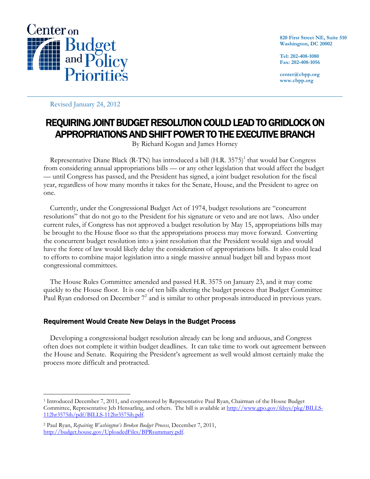

**820 First Street NE, Suite 510 Washington, DC 20002** 

**Tel: 202-408-1080 Fax: 202-408-1056** 

**center@cbpp.org www.cbpp.org** 

Revised January 24, 2012

# REQUIRING JOINT BUDGET RESOLUTION COULD LEAD TO GRIDLOCK ON APPROPRIATIONS AND SHIFT POWER TO THE EXECUTIVE BRANCH

By Richard Kogan and James Horney

Representative Diane Black (R-TN) has introduced a bill  $(H.R. 3575)^1$  that would bar Congress from considering annual appropriations bills — or any other legislation that would affect the budget — until Congress has passed, and the President has signed, a joint budget resolution for the fiscal year, regardless of how many months it takes for the Senate, House, and the President to agree on one.

Currently, under the Congressional Budget Act of 1974, budget resolutions are "concurrent resolutions" that do not go to the President for his signature or veto and are not laws. Also under current rules, if Congress has not approved a budget resolution by May 15, appropriations bills may be brought to the House floor so that the appropriations process may move forward. Converting the concurrent budget resolution into a joint resolution that the President would sign and would have the force of law would likely delay the consideration of appropriations bills. It also could lead to efforts to combine major legislation into a single massive annual budget bill and bypass most congressional committees.

The House Rules Committee amended and passed H.R. 3575 on January 23, and it may come quickly to the House floor. It is one of ten bills altering the budget process that Budget Committee Paul Ryan endorsed on December  $7<sup>2</sup>$  and is similar to other proposals introduced in previous years.

# Requirement Would Create New Delays in the Budget Process

Developing a congressional budget resolution already can be long and arduous, and Congress often does not complete it within budget deadlines. It can take time to work out agreement between the House and Senate. Requiring the President's agreement as well would almost certainly make the process more difficult and protracted.

 $\overline{a}$ 1 Introduced December 7, 2011, and cosponsored by Representative Paul Ryan, Chairman of the House Budget Committee, Representative Jeb Hensarling, and others. The bill is available at http://www.gpo.gov/fdsys/pkg/BILLS-112hr3575ih/pdf/BILLS-112hr3575ih.pdf.

<sup>2</sup> Paul Ryan, *Repairing Washington's Broken Budget Process*, December 7, 2011, http://budget.house.gov/UploadedFiles/BPRsummary.pdf.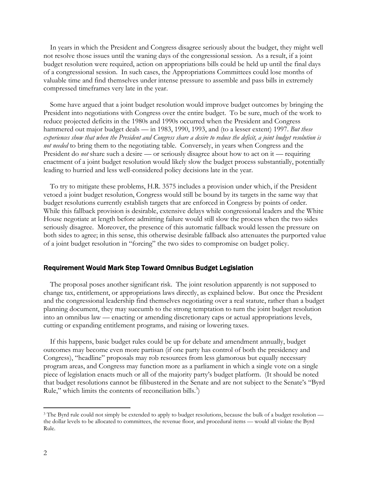In years in which the President and Congress disagree seriously about the budget, they might well not resolve those issues until the waning days of the congressional session. As a result, if a joint budget resolution were required, action on appropriations bills could be held up until the final days of a congressional session. In such cases, the Appropriations Committees could lose months of valuable time and find themselves under intense pressure to assemble and pass bills in extremely compressed timeframes very late in the year.

Some have argued that a joint budget resolution would improve budget outcomes by bringing the President into negotiations with Congress over the entire budget. To be sure, much of the work to reduce projected deficits in the 1980s and 1990s occurred when the President and Congress hammered out major budget deals — in 1983, 1990, 1993, and (to a lesser extent) 1997. *But these experiences show that when the President and Congress share a desire to reduce the deficit, a joint budget resolution is not needed* to bring them to the negotiating table. Conversely, in years when Congress and the President do *not* share such a desire — or seriously disagree about how to act on it — requiring enactment of a joint budget resolution would likely slow the budget process substantially, potentially leading to hurried and less well-considered policy decisions late in the year.

To try to mitigate these problems, H.R. 3575 includes a provision under which, if the President vetoed a joint budget resolution, Congress would still be bound by its targets in the same way that budget resolutions currently establish targets that are enforced in Congress by points of order. While this fallback provision is desirable, extensive delays while congressional leaders and the White House negotiate at length before admitting failure would still slow the process when the two sides seriously disagree. Moreover, the presence of this automatic fallback would lessen the pressure on both sides to agree; in this sense, this otherwise desirable fallback also attenuates the purported value of a joint budget resolution in "forcing" the two sides to compromise on budget policy.

#### Requirement Would Mark Step Toward Omnibus Budget Legislation

The proposal poses another significant risk. The joint resolution apparently is not supposed to change tax, entitlement, or appropriations laws directly, as explained below. But once the President and the congressional leadership find themselves negotiating over a real statute, rather than a budget planning document, they may succumb to the strong temptation to turn the joint budget resolution into an omnibus law — enacting or amending discretionary caps or actual appropriations levels, cutting or expanding entitlement programs, and raising or lowering taxes.

If this happens, basic budget rules could be up for debate and amendment annually, budget outcomes may become even more partisan (if one party has control of both the presidency and Congress), "headline" proposals may rob resources from less glamorous but equally necessary program areas, and Congress may function more as a parliament in which a single vote on a single piece of legislation enacts much or all of the majority party's budget platform. (It should be noted that budget resolutions cannot be filibustered in the Senate and are not subject to the Senate's "Byrd Rule," which limits the contents of reconciliation bills. $3$ )

 $\overline{a}$ 

<sup>&</sup>lt;sup>3</sup> The Byrd rule could not simply be extended to apply to budget resolutions, because the bulk of a budget resolution the dollar levels to be allocated to committees, the revenue floor, and procedural items — would all violate the Byrd Rule.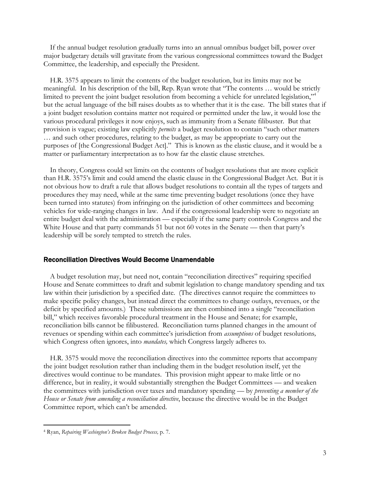If the annual budget resolution gradually turns into an annual omnibus budget bill, power over major budgetary details will gravitate from the various congressional committees toward the Budget Committee, the leadership, and especially the President.

H.R. 3575 appears to limit the contents of the budget resolution, but its limits may not be meaningful. In his description of the bill, Rep. Ryan wrote that "The contents … would be strictly limited to prevent the joint budget resolution from becoming a vehicle for unrelated legislation,"<sup>4</sup> but the actual language of the bill raises doubts as to whether that it is the case. The bill states that if a joint budget resolution contains matter not required or permitted under the law, it would lose the various procedural privileges it now enjoys, such as immunity from a Senate filibuster. But that provision is vague; existing law explicitly *permits* a budget resolution to contain "such other matters … and such other procedures, relating to the budget, as may be appropriate to carry out the purposes of [the Congressional Budget Act]." This is known as the elastic clause, and it would be a matter or parliamentary interpretation as to how far the elastic clause stretches.

In theory, Congress could set limits on the contents of budget resolutions that are more explicit than H.R. 3575's limit and could amend the elastic clause in the Congressional Budget Act. But it is not obvious how to draft a rule that allows budget resolutions to contain all the types of targets and procedures they may need, while at the same time preventing budget resolutions (once they have been turned into statutes) from infringing on the jurisdiction of other committees and becoming vehicles for wide-ranging changes in law. And if the congressional leadership were to negotiate an entire budget deal with the administration — especially if the same party controls Congress and the White House and that party commands 51 but not 60 votes in the Senate — then that party's leadership will be sorely tempted to stretch the rules.

### Reconciliation Directives Would Become Unamendable

A budget resolution may, but need not, contain "reconciliation directives" requiring specified House and Senate committees to draft and submit legislation to change mandatory spending and tax law within their jurisdiction by a specified date. (The directives cannot require the committees to make specific policy changes, but instead direct the committees to change outlays, revenues, or the deficit by specified amounts.) These submissions are then combined into a single "reconciliation bill," which receives favorable procedural treatment in the House and Senate; for example, reconciliation bills cannot be filibustered. Reconciliation turns planned changes in the amount of revenues or spending within each committee's jurisdiction from *assumptions* of budget resolutions*,* which Congress often ignores, into *mandates,* which Congress largely adheres to.

H.R. 3575 would move the reconciliation directives into the committee reports that accompany the joint budget resolution rather than including them in the budget resolution itself, yet the directives would continue to be mandates. This provision might appear to make little or no difference, but in reality, it would substantially strengthen the Budget Committees — and weaken the committees with jurisdiction over taxes and mandatory spending — by *preventing a member of the House or Senate from amending a reconciliation directive*, because the directive would be in the Budget Committee report, which can't be amended.

 $\overline{a}$ 

<sup>4</sup> Ryan, *Repairing Washington's Broken Budget Process,* p. 7.